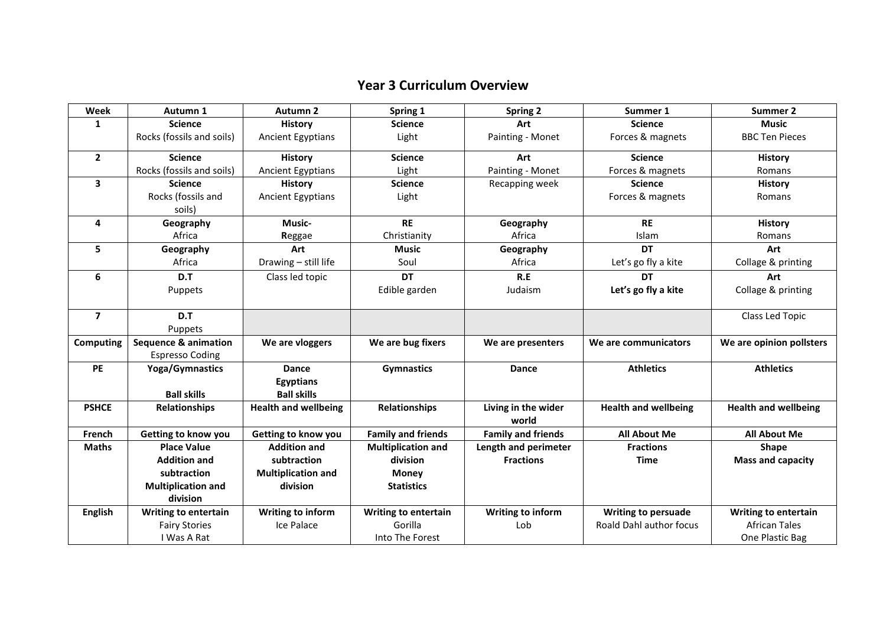## **Year 3 Curriculum Overview**

| Week                    | Autumn 1                        | Autumn <sub>2</sub>         | Spring 1                    | <b>Spring 2</b>              | Summer 1                       | Summer 2                    |
|-------------------------|---------------------------------|-----------------------------|-----------------------------|------------------------------|--------------------------------|-----------------------------|
| 1                       | <b>Science</b>                  | <b>History</b>              | <b>Science</b>              | Art                          | <b>Science</b>                 | <b>Music</b>                |
|                         | Rocks (fossils and soils)       | <b>Ancient Egyptians</b>    | Light                       | Painting - Monet             | Forces & magnets               | <b>BBC Ten Pieces</b>       |
| $\overline{2}$          | <b>Science</b>                  | <b>History</b>              | <b>Science</b>              | Art                          | <b>Science</b>                 | <b>History</b>              |
|                         | Rocks (fossils and soils)       | <b>Ancient Egyptians</b>    | Light                       | Painting - Monet             | Forces & magnets               | Romans                      |
| 3                       | <b>Science</b>                  | <b>History</b>              | <b>Science</b>              | Recapping week               | <b>Science</b>                 | <b>History</b>              |
|                         | Rocks (fossils and              | <b>Ancient Egyptians</b>    | Light                       |                              | Forces & magnets               | Romans                      |
|                         | soils)                          |                             |                             |                              |                                |                             |
| 4                       | Geography                       | Music-                      | <b>RE</b>                   | Geography                    | <b>RE</b>                      | <b>History</b>              |
|                         | Africa                          | Reggae                      | Christianity                | Africa                       | Islam                          | Romans                      |
| 5                       | Geography                       | Art                         | <b>Music</b>                | Geography                    | <b>DT</b>                      | Art                         |
|                         | Africa                          | Drawing - still life        | Soul                        | Africa                       | Let's go fly a kite            | Collage & printing          |
| 6                       | D.T                             | Class led topic             | <b>DT</b>                   | R.E                          | DT                             | Art                         |
|                         | Puppets                         |                             | Edible garden               | Judaism                      | Let's go fly a kite            | Collage & printing          |
|                         |                                 |                             |                             |                              |                                |                             |
| $\overline{\mathbf{z}}$ | D.T                             |                             |                             |                              |                                | Class Led Topic             |
|                         | Puppets                         |                             |                             |                              |                                |                             |
| <b>Computing</b>        | <b>Sequence &amp; animation</b> | We are vloggers             | We are bug fixers           | We are presenters            | We are communicators           | We are opinion pollsters    |
|                         | <b>Espresso Coding</b>          |                             |                             |                              |                                |                             |
| <b>PE</b>               | <b>Yoga/Gymnastics</b>          | Dance                       | <b>Gymnastics</b>           | Dance                        | <b>Athletics</b>               | <b>Athletics</b>            |
|                         |                                 | <b>Egyptians</b>            |                             |                              |                                |                             |
|                         | <b>Ball skills</b>              | <b>Ball skills</b>          |                             |                              |                                |                             |
| <b>PSHCE</b>            | <b>Relationships</b>            | <b>Health and wellbeing</b> | <b>Relationships</b>        | Living in the wider<br>world | <b>Health and wellbeing</b>    | <b>Health and wellbeing</b> |
| French                  | Getting to know you             | Getting to know you         | <b>Family and friends</b>   | <b>Family and friends</b>    | <b>All About Me</b>            | <b>All About Me</b>         |
| <b>Maths</b>            | <b>Place Value</b>              | <b>Addition and</b>         | <b>Multiplication and</b>   | Length and perimeter         | <b>Fractions</b>               | <b>Shape</b>                |
|                         | <b>Addition and</b>             | subtraction                 | division                    | <b>Fractions</b>             | <b>Time</b>                    | <b>Mass and capacity</b>    |
|                         | subtraction                     | <b>Multiplication and</b>   | <b>Money</b>                |                              |                                |                             |
|                         | <b>Multiplication and</b>       | division                    | <b>Statistics</b>           |                              |                                |                             |
|                         | division                        |                             |                             |                              |                                |                             |
| <b>English</b>          | <b>Writing to entertain</b>     | Writing to inform           | <b>Writing to entertain</b> | Writing to inform            | <b>Writing to persuade</b>     | <b>Writing to entertain</b> |
|                         | <b>Fairy Stories</b>            | Ice Palace                  | Gorilla                     | Lob                          | <b>Roald Dahl author focus</b> | <b>African Tales</b>        |
|                         | I Was A Rat                     |                             | Into The Forest             |                              |                                | One Plastic Bag             |